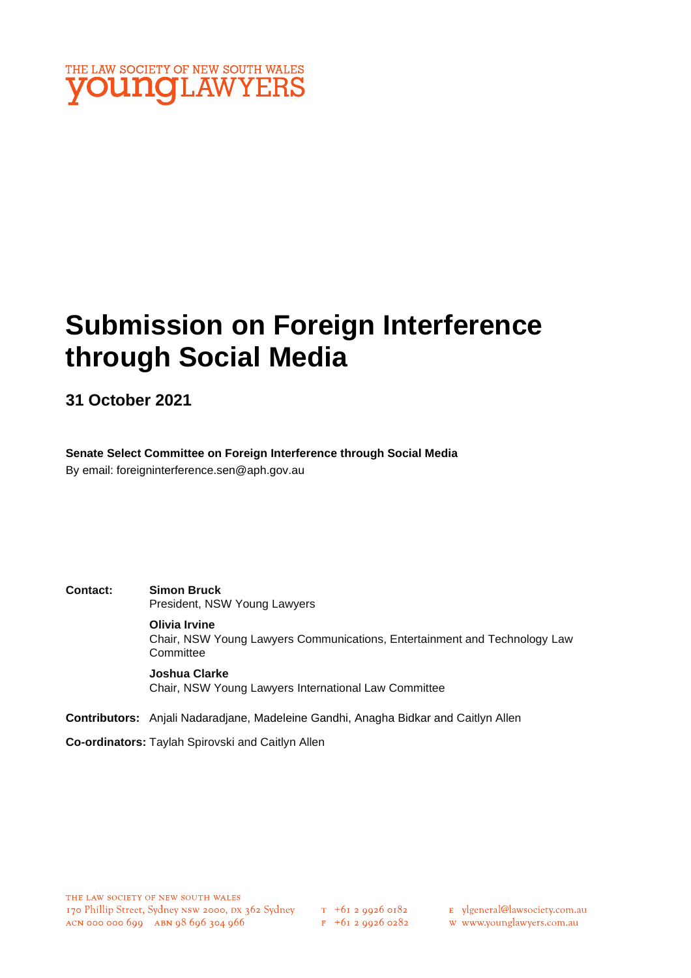

# **Submission on Foreign Interference through Social Media**

**31 October 2021**

**Senate Select Committee on Foreign Interference through Social Media** By email: foreigninterference.sen@aph.gov.au

**Contact: Simon Bruck** President, NSW Young Lawyers

**Olivia Irvine**

Chair, NSW Young Lawyers Communications, Entertainment and Technology Law **Committee** 

**Joshua Clarke** Chair, NSW Young Lawyers International Law Committee

**Contributors:** Anjali Nadaradjane, Madeleine Gandhi, Anagha Bidkar and Caitlyn Allen

**Co-ordinators:** Taylah Spirovski and Caitlyn Allen

- E ylgeneral@lawsociety.com.au
- w www.younglawyers.com.au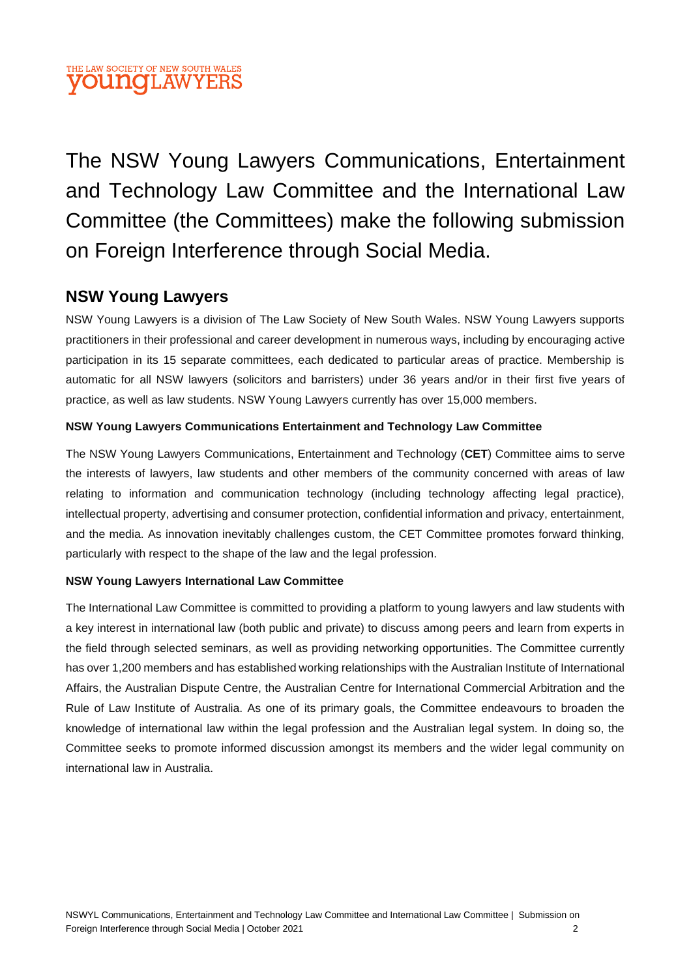### THE LAW SOCIETY OF NEW SOUTH WALES **VOUNGLAWYERS**

The NSW Young Lawyers Communications, Entertainment and Technology Law Committee and the International Law Committee (the Committees) make the following submission on Foreign Interference through Social Media.

### **NSW Young Lawyers**

NSW Young Lawyers is a division of The Law Society of New South Wales. NSW Young Lawyers supports practitioners in their professional and career development in numerous ways, including by encouraging active participation in its 15 separate committees, each dedicated to particular areas of practice. Membership is automatic for all NSW lawyers (solicitors and barristers) under 36 years and/or in their first five years of practice, as well as law students. NSW Young Lawyers currently has over 15,000 members.

#### **NSW Young Lawyers Communications Entertainment and Technology Law Committee**

The NSW Young Lawyers Communications, Entertainment and Technology (**CET**) Committee aims to serve the interests of lawyers, law students and other members of the community concerned with areas of law relating to information and communication technology (including technology affecting legal practice), intellectual property, advertising and consumer protection, confidential information and privacy, entertainment, and the media. As innovation inevitably challenges custom, the CET Committee promotes forward thinking, particularly with respect to the shape of the law and the legal profession.

#### **NSW Young Lawyers International Law Committee**

The International Law Committee is committed to providing a platform to young lawyers and law students with a key interest in international law (both public and private) to discuss among peers and learn from experts in the field through selected seminars, as well as providing networking opportunities. The Committee currently has over 1,200 members and has established working relationships with the Australian Institute of International Affairs, the Australian Dispute Centre, the Australian Centre for International Commercial Arbitration and the Rule of Law Institute of Australia. As one of its primary goals, the Committee endeavours to broaden the knowledge of international law within the legal profession and the Australian legal system. In doing so, the Committee seeks to promote informed discussion amongst its members and the wider legal community on international law in Australia.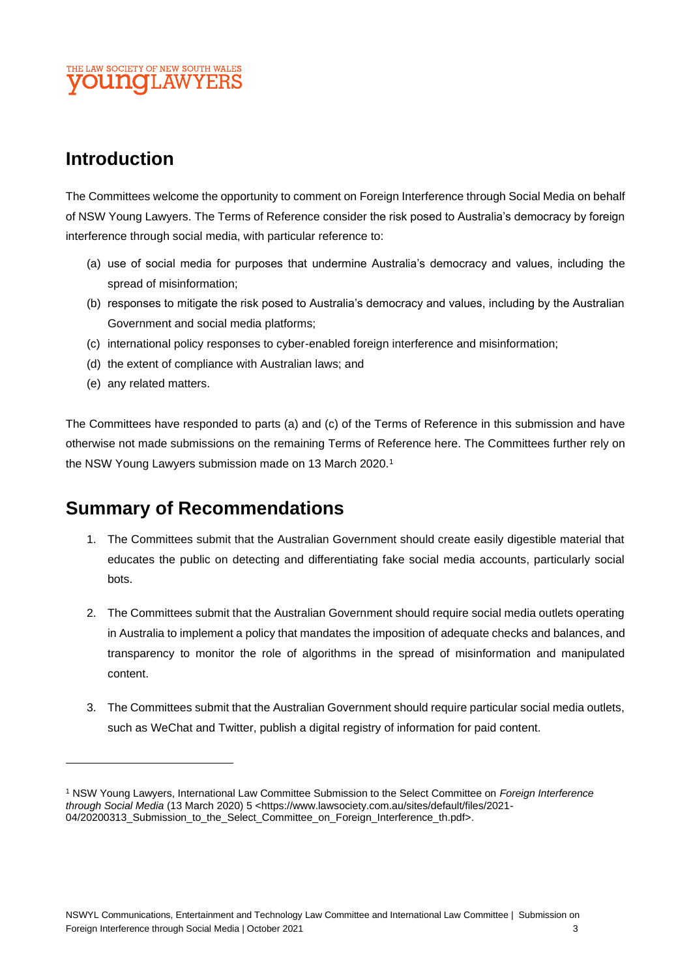### THE LAW SOCIETY OF NEW SOUTH WALES **UNOLAW**

# **Introduction**

The Committees welcome the opportunity to comment on Foreign Interference through Social Media on behalf of NSW Young Lawyers. The Terms of Reference consider the risk posed to Australia's democracy by foreign interference through social media, with particular reference to:

- (a) use of social media for purposes that undermine Australia's democracy and values, including the spread of misinformation;
- (b) responses to mitigate the risk posed to Australia's democracy and values, including by the Australian Government and social media platforms;
- (c) international policy responses to cyber-enabled foreign interference and misinformation;
- (d) the extent of compliance with Australian laws; and
- (e) any related matters.

The Committees have responded to parts (a) and (c) of the Terms of Reference in this submission and have otherwise not made submissions on the remaining Terms of Reference here. The Committees further rely on the NSW Young Lawyers submission made on 13 March 2020.<sup>1</sup>

## **Summary of Recommendations**

- 1. The Committees submit that the Australian Government should create easily digestible material that educates the public on detecting and differentiating fake social media accounts, particularly social bots.
- 2. The Committees submit that the Australian Government should require social media outlets operating in Australia to implement a policy that mandates the imposition of adequate checks and balances, and transparency to monitor the role of algorithms in the spread of misinformation and manipulated content.
- 3. The Committees submit that the Australian Government should require particular social media outlets, such as WeChat and Twitter, publish a digital registry of information for paid content.

<sup>1</sup> NSW Young Lawyers, International Law Committee Submission to the Select Committee on *Foreign Interference through Social Media* (13 March 2020) 5 [<https://www.lawsociety.com.au/sites/default/files/2021-](https://www.lawsociety.com.au/sites/default/files/2021-04/20200313_Submission_to_the_Select_Committee_on_Foreign_Interference_th.pdf) [04/20200313\\_Submission\\_to\\_the\\_Select\\_Committee\\_on\\_Foreign\\_Interference\\_th.pdf>](https://www.lawsociety.com.au/sites/default/files/2021-04/20200313_Submission_to_the_Select_Committee_on_Foreign_Interference_th.pdf).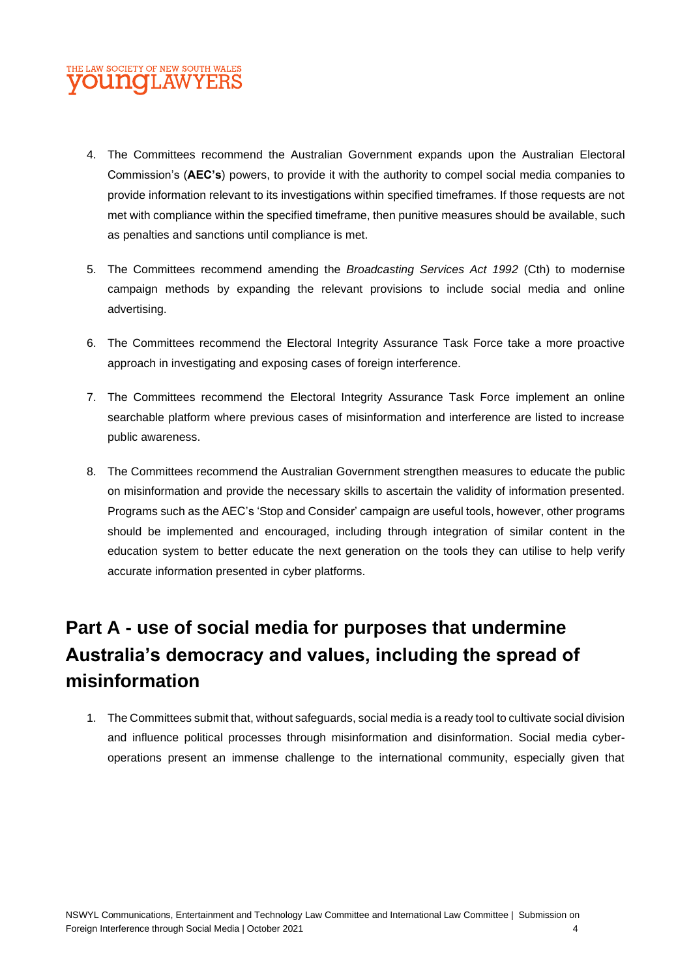### THE LAW SOCIETY OF NEW SOUTH WALES **OUNCLAWYEI**

- 4. The Committees recommend the Australian Government expands upon the Australian Electoral Commission's (**AEC's**) powers, to provide it with the authority to compel social media companies to provide information relevant to its investigations within specified timeframes. If those requests are not met with compliance within the specified timeframe, then punitive measures should be available, such as penalties and sanctions until compliance is met.
- 5. The Committees recommend amending the *Broadcasting Services Act 1992* (Cth) to modernise campaign methods by expanding the relevant provisions to include social media and online advertising.
- 6. The Committees recommend the Electoral Integrity Assurance Task Force take a more proactive approach in investigating and exposing cases of foreign interference.
- 7. The Committees recommend the Electoral Integrity Assurance Task Force implement an online searchable platform where previous cases of misinformation and interference are listed to increase public awareness.
- 8. The Committees recommend the Australian Government strengthen measures to educate the public on misinformation and provide the necessary skills to ascertain the validity of information presented. Programs such as the AEC's 'Stop and Consider' campaign are useful tools, however, other programs should be implemented and encouraged, including through integration of similar content in the education system to better educate the next generation on the tools they can utilise to help verify accurate information presented in cyber platforms.

# **Part A - use of social media for purposes that undermine Australia's democracy and values, including the spread of misinformation**

1. The Committees submit that, without safeguards, social media is a ready tool to cultivate social division and influence political processes through misinformation and disinformation. Social media cyberoperations present an immense challenge to the international community, especially given that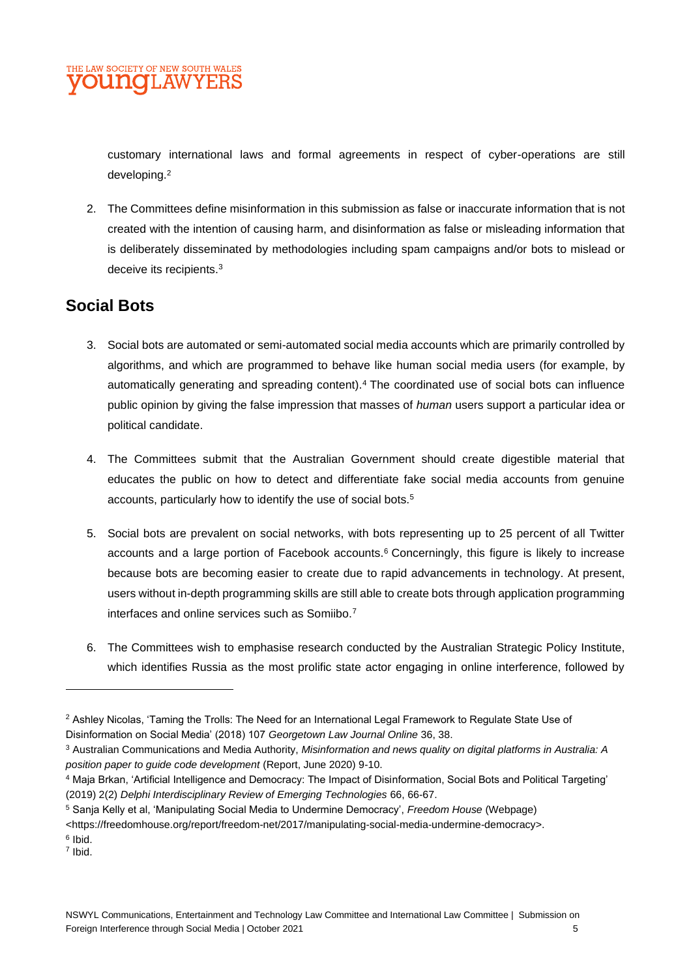customary international laws and formal agreements in respect of cyber-operations are still developing.<sup>2</sup>

2. The Committees define misinformation in this submission as false or inaccurate information that is not created with the intention of causing harm, and disinformation as false or misleading information that is deliberately disseminated by methodologies including spam campaigns and/or bots to mislead or deceive its recipients.<sup>3</sup>

### **Social Bots**

- 3. Social bots are automated or semi-automated social media accounts which are primarily controlled by algorithms, and which are programmed to behave like human social media users (for example, by automatically generating and spreading content).<sup>4</sup> The coordinated use of social bots can influence public opinion by giving the false impression that masses of *human* users support a particular idea or political candidate.
- 4. The Committees submit that the Australian Government should create digestible material that educates the public on how to detect and differentiate fake social media accounts from genuine accounts, particularly how to identify the use of social bots.<sup>5</sup>
- 5. Social bots are prevalent on social networks, with bots representing up to 25 percent of all Twitter accounts and a large portion of Facebook accounts.<sup>6</sup> Concerningly, this figure is likely to increase because bots are becoming easier to create due to rapid advancements in technology. At present, users without in-depth programming skills are still able to create bots through application programming interfaces and online services such as Somiibo.<sup>7</sup>
- 6. The Committees wish to emphasise research conducted by the Australian Strategic Policy Institute, which identifies Russia as the most prolific state actor engaging in online interference, followed by

<sup>5</sup> Sanja Kelly et al, 'Manipulating Social Media to Undermine Democracy', *Freedom House* (Webpage)

<sup>2</sup> Ashley Nicolas, 'Taming the Trolls: The Need for an International Legal Framework to Regulate State Use of Disinformation on Social Media' (2018) 107 *Georgetown Law Journal Online* 36, 38.

<sup>3</sup> Australian Communications and Media Authority, *Misinformation and news quality on digital platforms in Australia: A position paper to guide code development* (Report, June 2020) 9-10.

<sup>4</sup> Maja Brkan, 'Artificial Intelligence and Democracy: The Impact of Disinformation, Social Bots and Political Targeting' (2019) 2(2) *Delphi Interdisciplinary Review of Emerging Technologies* 66, 66-67.

<sup>&</sup>lt;https://freedomhouse.org/report/freedom-net/2017/manipulating-social-media-undermine-democracy>.

<sup>&</sup>lt;sup>6</sup> Ibid. 7 Ibid.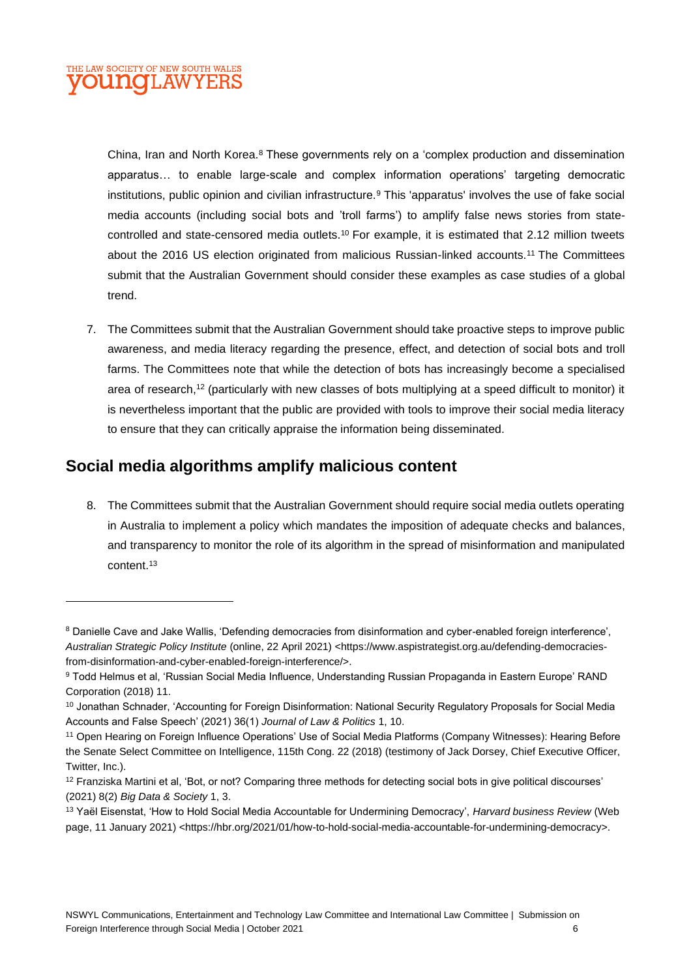China, Iran and North Korea.<sup>8</sup> These governments rely on a 'complex production and dissemination apparatus… to enable large-scale and complex information operations' targeting democratic institutions, public opinion and civilian infrastructure.<sup>9</sup> This 'apparatus' involves the use of fake social media accounts (including social bots and 'troll farms') to amplify false news stories from statecontrolled and state-censored media outlets.<sup>10</sup> For example, it is estimated that 2.12 million tweets about the 2016 US election originated from malicious Russian-linked accounts.<sup>11</sup> The Committees submit that the Australian Government should consider these examples as case studies of a global trend.

7. The Committees submit that the Australian Government should take proactive steps to improve public awareness, and media literacy regarding the presence, effect, and detection of social bots and troll farms. The Committees note that while the detection of bots has increasingly become a specialised area of research,<sup>12</sup> (particularly with new classes of bots multiplying at a speed difficult to monitor) it is nevertheless important that the public are provided with tools to improve their social media literacy to ensure that they can critically appraise the information being disseminated.

### **Social media algorithms amplify malicious content**

8. The Committees submit that the Australian Government should require social media outlets operating in Australia to implement a policy which mandates the imposition of adequate checks and balances, and transparency to monitor the role of its algorithm in the spread of misinformation and manipulated content.<sup>13</sup>

<sup>&</sup>lt;sup>8</sup> Danielle Cave and Jake Wallis, 'Defending democracies from disinformation and cyber-enabled foreign interference', *Australian Strategic Policy Institute* (online, 22 April 2021) [<https://www.aspistrategist.org.au/defending-democracies](https://www.aspistrategist.org.au/defending-democracies-from-disinformation-and-cyber-enabled-foreign-interference/)[from-disinformation-and-cyber-enabled-foreign-interference/>](https://www.aspistrategist.org.au/defending-democracies-from-disinformation-and-cyber-enabled-foreign-interference/).

<sup>9</sup> Todd Helmus et al, 'Russian Social Media Influence, Understanding Russian Propaganda in Eastern Europe' RAND Corporation (2018) 11.

<sup>&</sup>lt;sup>10</sup> Jonathan Schnader, 'Accounting for Foreign Disinformation: National Security Regulatory Proposals for Social Media Accounts and False Speech' (2021) 36(1) *Journal of Law & Politics* 1, 10.

<sup>11</sup> Open Hearing on Foreign Influence Operations' Use of Social Media Platforms (Company Witnesses): Hearing Before the Senate Select Committee on Intelligence, 115th Cong. 22 (2018) (testimony of Jack Dorsey, Chief Executive Officer, Twitter, Inc.).

 $12$  Franziska Martini et al, 'Bot, or not? Comparing three methods for detecting social bots in give political discourses' (2021) 8(2) *Big Data & Society* 1, 3.

<sup>13</sup> Yaël Eisenstat, 'How to Hold Social Media Accountable for Undermining Democracy', *Harvard business Review* (Web page, 11 January 2021) <https://hbr.org/2021/01/how-to-hold-social-media-accountable-for-undermining-democracy>.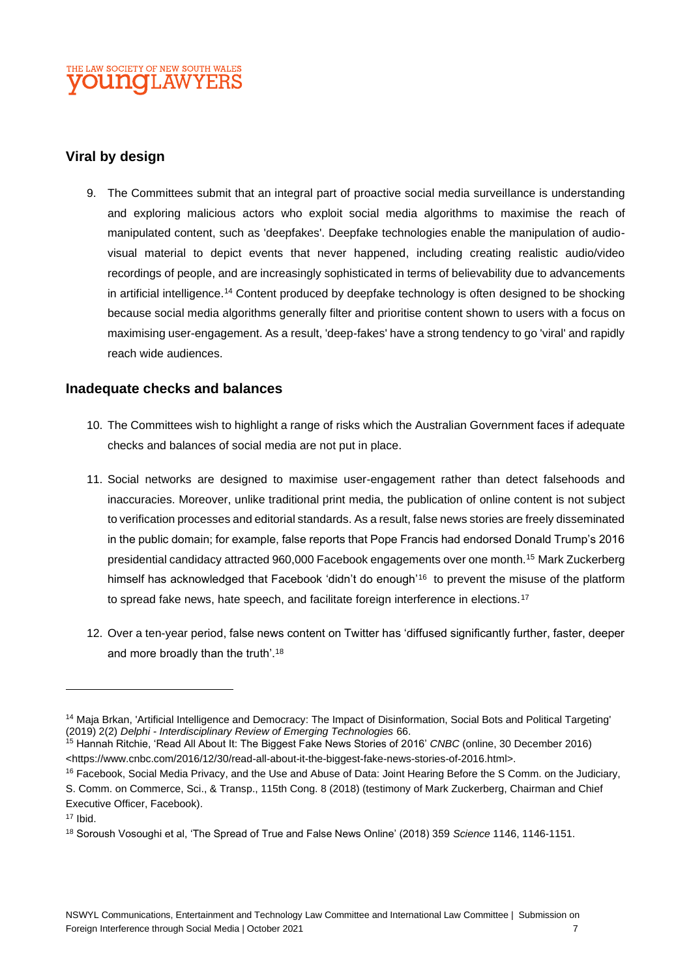#### **Viral by design**

9. The Committees submit that an integral part of proactive social media surveillance is understanding and exploring malicious actors who exploit social media algorithms to maximise the reach of manipulated content, such as 'deepfakes'. Deepfake technologies enable the manipulation of audiovisual material to depict events that never happened, including creating realistic audio/video recordings of people, and are increasingly sophisticated in terms of believability due to advancements in artificial intelligence.<sup>14</sup> Content produced by deepfake technology is often designed to be shocking because social media algorithms generally filter and prioritise content shown to users with a focus on maximising user-engagement. As a result, 'deep-fakes' have a strong tendency to go 'viral' and rapidly reach wide audiences.

#### **Inadequate checks and balances**

- 10. The Committees wish to highlight a range of risks which the Australian Government faces if adequate checks and balances of social media are not put in place.
- 11. Social networks are designed to maximise user-engagement rather than detect falsehoods and inaccuracies. Moreover, unlike traditional print media, the publication of online content is not subject to verification processes and editorial standards. As a result, false news stories are freely disseminated in the public domain; for example, false reports that Pope Francis had endorsed Donald Trump's 2016 presidential candidacy attracted 960,000 Facebook engagements over one month.<sup>15</sup> Mark Zuckerberg himself has acknowledged that Facebook 'didn't do enough'<sup>16</sup> to prevent the misuse of the platform to spread fake news, hate speech, and facilitate foreign interference in elections.<sup>17</sup>
- 12. Over a ten-year period, false news content on Twitter has 'diffused significantly further, faster, deeper and more broadly than the truth'.<sup>18</sup>

<sup>&</sup>lt;sup>14</sup> Maja Brkan, 'Artificial Intelligence and Democracy: The Impact of Disinformation, Social Bots and Political Targeting' (2019) 2(2) *Delphi - Interdisciplinary Review of Emerging Technologies* 66.

<sup>15</sup> Hannah Ritchie, 'Read All About It: The Biggest Fake News Stories of 2016' *CNBC* (online, 30 December 2016) <https://www.cnbc.com/2016/12/30/read-all-about-it-the-biggest-fake-news-stories-of-2016.html>.

<sup>16</sup> Facebook, Social Media Privacy, and the Use and Abuse of Data: Joint Hearing Before the S Comm. on the Judiciary, S. Comm. on Commerce, Sci., & Transp., 115th Cong. 8 (2018) (testimony of Mark Zuckerberg, Chairman and Chief Executive Officer, Facebook).

 $17$  Ibid.

<sup>18</sup> Soroush Vosoughi et al, 'The Spread of True and False News Online' (2018) 359 *Science* 1146, 1146-1151.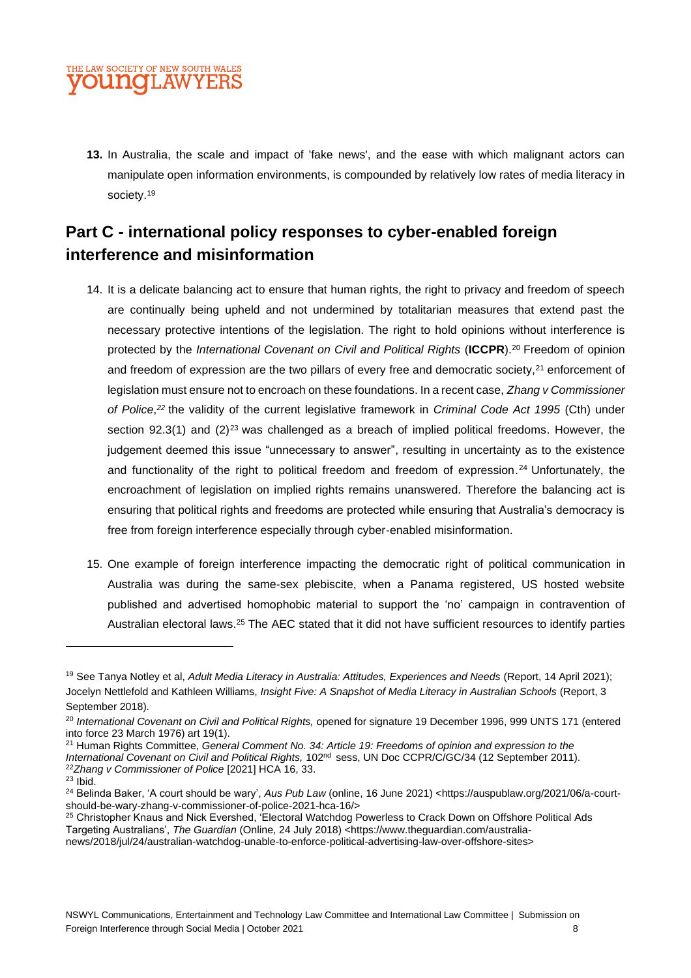

**13.** In Australia, the scale and impact of 'fake news', and the ease with which malignant actors can manipulate open information environments, is compounded by relatively low rates of media literacy in society.<sup>19</sup>

### **Part C - international policy responses to cyber-enabled foreign interference and misinformation**

- 14. It is a delicate balancing act to ensure that human rights, the right to privacy and freedom of speech are continually being upheld and not undermined by totalitarian measures that extend past the necessary protective intentions of the legislation. The right to hold opinions without interference is protected by the *International Covenant on Civil and Political Rights* (**ICCPR**).<sup>20</sup> Freedom of opinion and freedom of expression are the two pillars of every free and democratic society,<sup>21</sup> enforcement of legislation must ensure not to encroach on these foundations. In a recent case, *Zhang v Commissioner of Police*, *<sup>22</sup>* the validity of the current legislative framework in *Criminal Code Act 1995* (Cth) under section 92.3(1) and  $(2)^{23}$  was challenged as a breach of implied political freedoms. However, the judgement deemed this issue "unnecessary to answer", resulting in uncertainty as to the existence and functionality of the right to political freedom and freedom of expression. <sup>24</sup> Unfortunately, the encroachment of legislation on implied rights remains unanswered. Therefore the balancing act is ensuring that political rights and freedoms are protected while ensuring that Australia's democracy is free from foreign interference especially through cyber-enabled misinformation.
- 15. One example of foreign interference impacting the democratic right of political communication in Australia was during the same-sex plebiscite, when a Panama registered, US hosted website published and advertised homophobic material to support the 'no' campaign in contravention of Australian electoral laws.<sup>25</sup> The AEC stated that it did not have sufficient resources to identify parties

<sup>19</sup> See Tanya Notley et al, *Adult Media Literacy in Australia: Attitudes, Experiences and Needs* (Report, 14 April 2021); Jocelyn Nettlefold and Kathleen Williams, *Insight Five: A Snapshot of Media Literacy in Australian Schools* (Report, 3 September 2018).

<sup>20</sup> *International Covenant on Civil and Political Rights,* opened for signature 19 December 1996, 999 UNTS 171 (entered into force 23 March 1976) art 19(1).

<sup>21</sup> Human Rights Committee, *General Comment No. 34: Article 19: Freedoms of opinion and expression to the International Covenant on Civil and Political Rights,* 102nd sess, UN Doc CCPR/C/GC/34 (12 September 2011). <sup>22</sup>*Zhang v Commissioner of Police* [2021] HCA 16, 33.

<sup>23</sup> Ibid.

<sup>24</sup> Belinda Baker, 'A court should be wary', *Aus Pub Law* (online, 16 June 2021) [<https://auspublaw.org/2021/06/a-court](https://auspublaw.org/2021/06/a-court-should-be-wary-zhang-v-commissioner-of-police-2021-hca-16/)[should-be-wary-zhang-v-commissioner-of-police-2021-hca-16/>](https://auspublaw.org/2021/06/a-court-should-be-wary-zhang-v-commissioner-of-police-2021-hca-16/)

<sup>&</sup>lt;sup>25</sup> Christopher Knaus and Nick Evershed, 'Electoral Watchdog Powerless to Crack Down on Offshore Political Ads Targeting Australians', *The Guardian* (Online, 24 July 2018) [<https://www.theguardian.com/australia](https://www.theguardian.com/australia-news/2018/jul/24/australian-watchdog-unable-to-enforce-political-advertising-law-over-offshore-sites)[news/2018/jul/24/australian-watchdog-unable-to-enforce-political-advertising-law-over-offshore-sites>](https://www.theguardian.com/australia-news/2018/jul/24/australian-watchdog-unable-to-enforce-political-advertising-law-over-offshore-sites)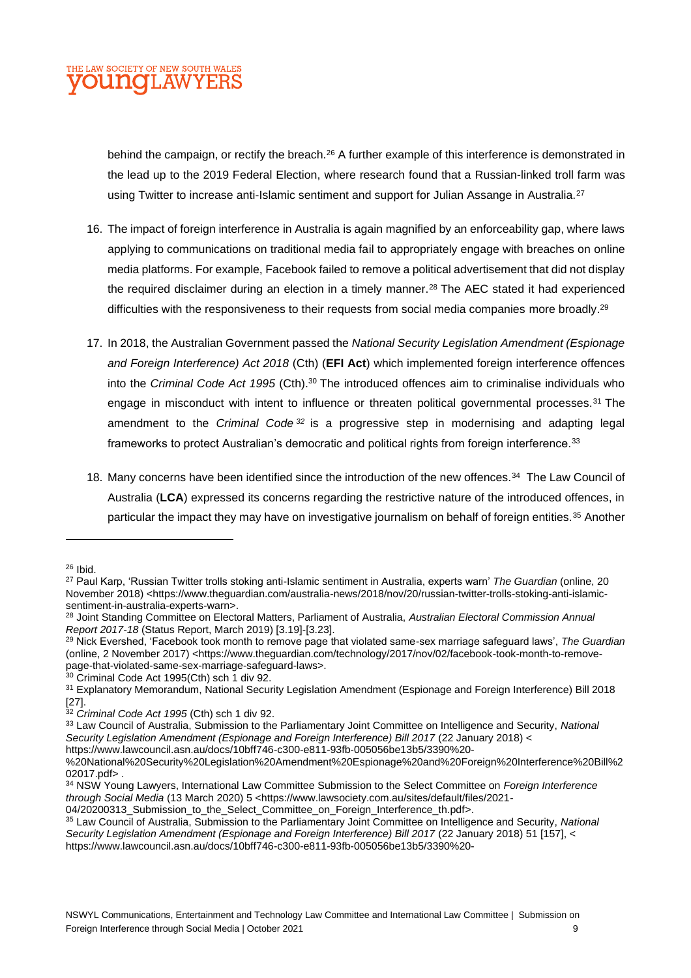

behind the campaign, or rectify the breach.<sup>26</sup> A further example of this interference is demonstrated in the lead up to the 2019 Federal Election, where research found that a Russian-linked troll farm was using Twitter to increase anti-Islamic sentiment and support for Julian Assange in Australia.<sup>27</sup>

- 16. The impact of foreign interference in Australia is again magnified by an enforceability gap, where laws applying to communications on traditional media fail to appropriately engage with breaches on online media platforms. For example, Facebook failed to remove a political advertisement that did not display the required disclaimer during an election in a timely manner.<sup>28</sup> The AEC stated it had experienced difficulties with the responsiveness to their requests from social media companies more broadly.<sup>29</sup>
- 17. In 2018, the Australian Government passed the *National Security Legislation Amendment (Espionage and Foreign Interference) Act 2018* (Cth) (**EFI Act**) which implemented foreign interference offences into the *Criminal Code Act 1995* (Cth).<sup>30</sup> The introduced offences aim to criminalise individuals who engage in misconduct with intent to influence or threaten political governmental processes.<sup>31</sup> The amendment to the *Criminal Code <sup>32</sup>* is a progressive step in modernising and adapting legal frameworks to protect Australian's democratic and political rights from foreign interference.<sup>33</sup>
- 18. Many concerns have been identified since the introduction of the new offences.<sup>34</sup> The Law Council of Australia (**LCA**) expressed its concerns regarding the restrictive nature of the introduced offences, in particular the impact they may have on investigative journalism on behalf of foreign entities.<sup>35</sup> Another

<sup>26</sup> Ibid.

<sup>27</sup> Paul Karp, 'Russian Twitter trolls stoking anti-Islamic sentiment in Australia, experts warn' *The Guardian* (online, 20 November 2018) [<https://www.theguardian.com/australia-news/2018/nov/20/russian-twitter-trolls-stoking-anti-islamic](https://www.theguardian.com/australia-news/2018/nov/20/russian-twitter-trolls-stoking-anti-islamic-sentiment-in-australia-experts-warn)[sentiment-in-australia-experts-warn>](https://www.theguardian.com/australia-news/2018/nov/20/russian-twitter-trolls-stoking-anti-islamic-sentiment-in-australia-experts-warn).

<sup>28</sup> Joint Standing Committee on Electoral Matters, Parliament of Australia, *Australian Electoral Commission Annual Report 2017-18* (Status Report, March 2019) [3.19]-[3.23].

<sup>29</sup> Nick Evershed, 'Facebook took month to remove page that violated same-sex marriage safeguard laws', *The Guardian*  (online, 2 November 2017) [<https://www.theguardian.com/technology/2017/nov/02/facebook-took-month-to-remove](https://www.theguardian.com/technology/2017/nov/02/facebook-took-month-to-remove-page-that-violated-same-sex-marriage-safeguard-laws)[page-that-violated-same-sex-marriage-safeguard-laws>](https://www.theguardian.com/technology/2017/nov/02/facebook-took-month-to-remove-page-that-violated-same-sex-marriage-safeguard-laws).

<sup>30</sup> Criminal Code Act 1995(Cth) sch 1 div 92.

<sup>&</sup>lt;sup>31</sup> Explanatory Memorandum, National Security Legislation Amendment (Espionage and Foreign Interference) Bill 2018 [27].

<sup>32</sup> *Criminal Code Act 1995* (Cth) sch 1 div 92.

<sup>33</sup> Law Council of Australia, Submission to the Parliamentary Joint Committee on Intelligence and Security, *National Security Legislation Amendment (Espionage and Foreign Interference) Bill 2017* (22 January 2018) [<](file:///C:/Program%20Files%20(x86)/Mimecast/PATI/temp/6aef8123-f6b4-4756-a2a8-7faa06b81d39/)

[https://www.lawcouncil.asn.au/docs/10bff746-c300-e811-93fb-005056be13b5/3390%20-](https://www.lawcouncil.asn.au/docs/10bff746-c300-e811-93fb-005056be13b5/3390%20-%20National%20Security%20Legislation%20Amendment%20Espionage%20and%20Foreign%20Interference%20Bill%202017.pdf)

[<sup>%20</sup>National%20Security%20Legislation%20Amendment%20Espionage%20and%20Foreign%20Interference%20Bill%2](https://www.lawcouncil.asn.au/docs/10bff746-c300-e811-93fb-005056be13b5/3390%20-%20National%20Security%20Legislation%20Amendment%20Espionage%20and%20Foreign%20Interference%20Bill%202017.pdf) [02017.pdf>](https://www.lawcouncil.asn.au/docs/10bff746-c300-e811-93fb-005056be13b5/3390%20-%20National%20Security%20Legislation%20Amendment%20Espionage%20and%20Foreign%20Interference%20Bill%202017.pdf).

<sup>34</sup> NSW Young Lawyers, International Law Committee Submission to the Select Committee on *Foreign Interference through Social Media* (13 March 2020) 5 [<https://www.lawsociety.com.au/sites/default/files/2021-](https://www.lawsociety.com.au/sites/default/files/2021-04/20200313_Submission_to_the_Select_Committee_on_Foreign_Interference_th.pdf) [04/20200313\\_Submission\\_to\\_the\\_Select\\_Committee\\_on\\_Foreign\\_Interference\\_th.pdf>](https://www.lawsociety.com.au/sites/default/files/2021-04/20200313_Submission_to_the_Select_Committee_on_Foreign_Interference_th.pdf).

<sup>35</sup> Law Council of Australia, Submission to the Parliamentary Joint Committee on Intelligence and Security, *National*  Security Legislation Amendment (Espionage and Foreign Interference) Bill 2017 (22 January 2018) 51 [157], [<](https://www.lawcouncil.asn.au/docs/10bff746-c300-e811-93fb-005056be13b5/3390%20-%20National%20Security%20Legislation%20Amendment%20Espionage%20and%20Foreign%20Interference%20Bill%202017.pdf) [https://www.lawcouncil.asn.au/docs/10bff746-c300-e811-93fb-005056be13b5/3390%20-](https://www.lawcouncil.asn.au/docs/10bff746-c300-e811-93fb-005056be13b5/3390%20-%20National%20Security%20Legislation%20Amendment%20Espionage%20and%20Foreign%20Interference%20Bill%202017.pdf)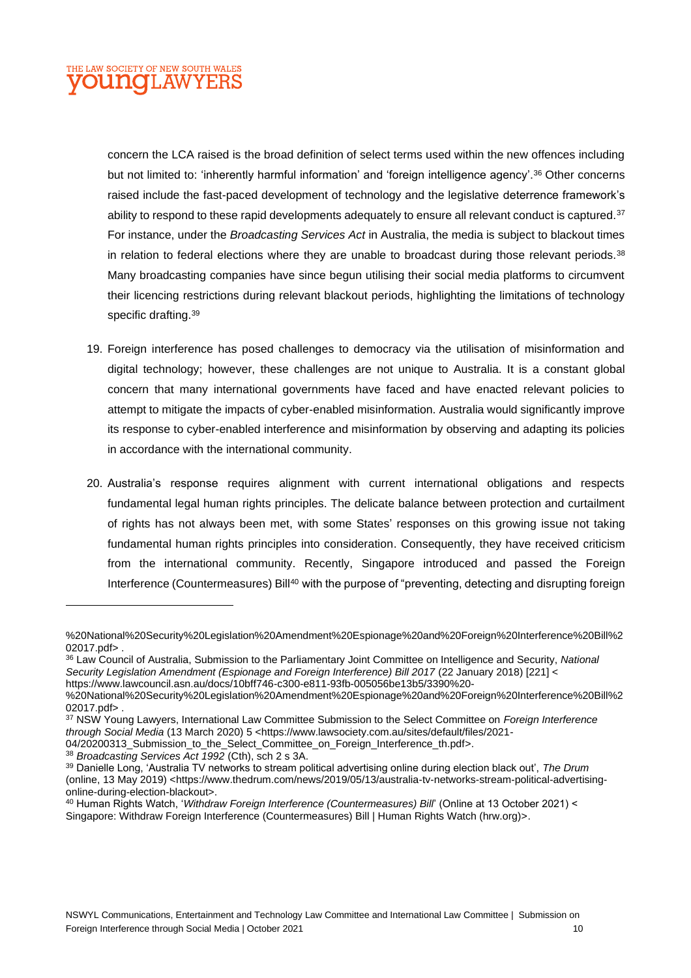### THE LAW SOCIETY OF NEW SOUTH WALES **OUNGLAW**

concern the LCA raised is the broad definition of select terms used within the new offences including but not limited to: 'inherently harmful information' and 'foreign intelligence agency'.<sup>36</sup> Other concerns raised include the fast-paced development of technology and the legislative deterrence framework's ability to respond to these rapid developments adequately to ensure all relevant conduct is captured.<sup>37</sup> For instance, under the *Broadcasting Services Act* in Australia, the media is subject to blackout times in relation to federal elections where they are unable to broadcast during those relevant periods.<sup>38</sup> Many broadcasting companies have since begun utilising their social media platforms to circumvent their licencing restrictions during relevant blackout periods, highlighting the limitations of technology specific drafting. 39

- 19. Foreign interference has posed challenges to democracy via the utilisation of misinformation and digital technology; however, these challenges are not unique to Australia. It is a constant global concern that many international governments have faced and have enacted relevant policies to attempt to mitigate the impacts of cyber-enabled misinformation. Australia would significantly improve its response to cyber-enabled interference and misinformation by observing and adapting its policies in accordance with the international community.
- 20. Australia's response requires alignment with current international obligations and respects fundamental legal human rights principles. The delicate balance between protection and curtailment of rights has not always been met, with some States' responses on this growing issue not taking fundamental human rights principles into consideration. Consequently, they have received criticism from the international community. Recently, Singapore introduced and passed the Foreign Interference (Countermeasures) Bill<sup>40</sup> with the purpose of "preventing, detecting and disrupting foreign

[04/20200313\\_Submission\\_to\\_the\\_Select\\_Committee\\_on\\_Foreign\\_Interference\\_th.pdf>](https://www.lawsociety.com.au/sites/default/files/2021-04/20200313_Submission_to_the_Select_Committee_on_Foreign_Interference_th.pdf).

<sup>38</sup> *Broadcasting Services Act 1992* (Cth), sch 2 s 3A.

[<sup>%20</sup>National%20Security%20Legislation%20Amendment%20Espionage%20and%20Foreign%20Interference%20Bill%2](https://www.lawcouncil.asn.au/docs/10bff746-c300-e811-93fb-005056be13b5/3390%20-%20National%20Security%20Legislation%20Amendment%20Espionage%20and%20Foreign%20Interference%20Bill%202017.pdf) [02017.pdf>](https://www.lawcouncil.asn.au/docs/10bff746-c300-e811-93fb-005056be13b5/3390%20-%20National%20Security%20Legislation%20Amendment%20Espionage%20and%20Foreign%20Interference%20Bill%202017.pdf).

<sup>36</sup> Law Council of Australia, Submission to the Parliamentary Joint Committee on Intelligence and Security, *National Security Legislation Amendment (Espionage and Foreign Interference) Bill 2017* (22 January 2018) [221] [<](https://www.lawcouncil.asn.au/docs/10bff746-c300-e811-93fb-005056be13b5/3390%20-%20National%20Security%20Legislation%20Amendment%20Espionage%20and%20Foreign%20Interference%20Bill%202017.pdf) [https://www.lawcouncil.asn.au/docs/10bff746-c300-e811-93fb-005056be13b5/3390%20-](https://www.lawcouncil.asn.au/docs/10bff746-c300-e811-93fb-005056be13b5/3390%20-%20National%20Security%20Legislation%20Amendment%20Espionage%20and%20Foreign%20Interference%20Bill%202017.pdf)

[<sup>%20</sup>National%20Security%20Legislation%20Amendment%20Espionage%20and%20Foreign%20Interference%20Bill%2](https://www.lawcouncil.asn.au/docs/10bff746-c300-e811-93fb-005056be13b5/3390%20-%20National%20Security%20Legislation%20Amendment%20Espionage%20and%20Foreign%20Interference%20Bill%202017.pdf) [02017.pdf>](https://www.lawcouncil.asn.au/docs/10bff746-c300-e811-93fb-005056be13b5/3390%20-%20National%20Security%20Legislation%20Amendment%20Espionage%20and%20Foreign%20Interference%20Bill%202017.pdf).

<sup>37</sup> NSW Young Lawyers, International Law Committee Submission to the Select Committee on *Foreign Interference through Social Media* (13 March 2020) 5 [<https://www.lawsociety.com.au/sites/default/files/2021-](https://www.lawsociety.com.au/sites/default/files/2021-04/20200313_Submission_to_the_Select_Committee_on_Foreign_Interference_th.pdf)

<sup>39</sup> Danielle Long, 'Australia TV networks to stream political advertising online during election black out', *The Drum*  (online, 13 May 2019) [<https://www.thedrum.com/news/2019/05/13/australia-tv-networks-stream-political-advertising](https://www.thedrum.com/news/2019/05/13/australia-tv-networks-stream-political-advertising-online-during-election-blackout)[online-during-election-blackout>](https://www.thedrum.com/news/2019/05/13/australia-tv-networks-stream-political-advertising-online-during-election-blackout).

<sup>40</sup> Human Rights Watch, '*Withdraw Foreign Interference (Countermeasures) Bill*' (Online at 13 October 2021) < Singapore: Withdraw Foreign Interference (Countermeasures) Bill | Human Rights Watch (hrw.org)>.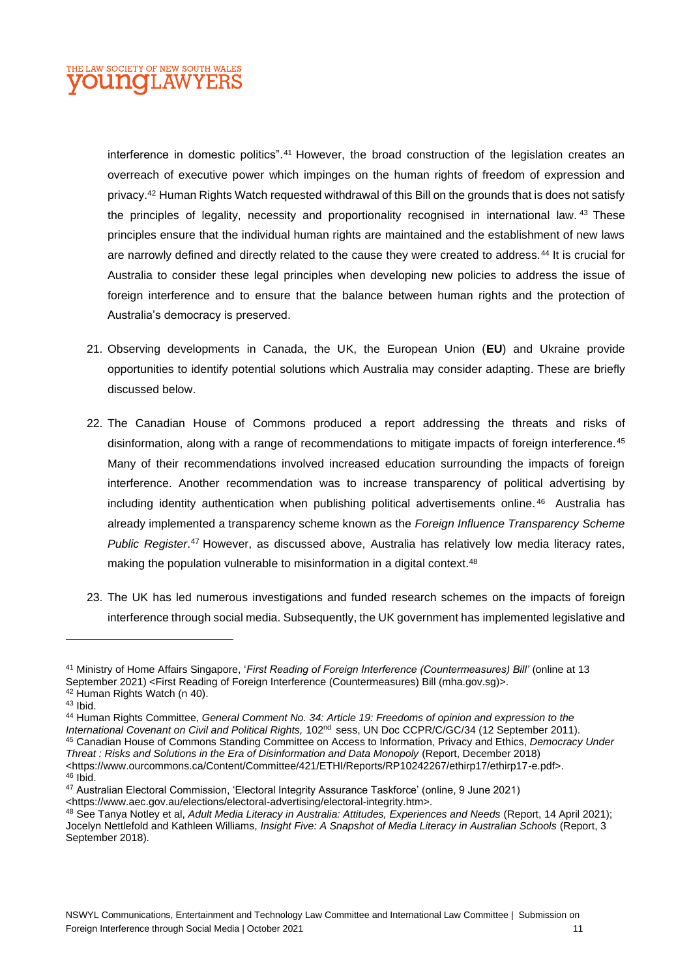

interference in domestic politics". <sup>41</sup> However, the broad construction of the legislation creates an overreach of executive power which impinges on the human rights of freedom of expression and privacy.<sup>42</sup> Human Rights Watch requested withdrawal of this Bill on the grounds that is does not satisfy the principles of legality, necessity and proportionality recognised in international law. <sup>43</sup> These principles ensure that the individual human rights are maintained and the establishment of new laws are narrowly defined and directly related to the cause they were created to address.<sup>44</sup> It is crucial for Australia to consider these legal principles when developing new policies to address the issue of foreign interference and to ensure that the balance between human rights and the protection of Australia's democracy is preserved.

- 21. Observing developments in Canada, the UK, the European Union (**EU**) and Ukraine provide opportunities to identify potential solutions which Australia may consider adapting. These are briefly discussed below.
- 22. The Canadian House of Commons produced a report addressing the threats and risks of disinformation, along with a range of recommendations to mitigate impacts of foreign interference.<sup>45</sup> Many of their recommendations involved increased education surrounding the impacts of foreign interference. Another recommendation was to increase transparency of political advertising by including identity authentication when publishing political advertisements online. <sup>46</sup> Australia has already implemented a transparency scheme known as the *Foreign Influence Transparency Scheme Public Register*. <sup>47</sup> However, as discussed above, Australia has relatively low media literacy rates, making the population vulnerable to misinformation in a digital context.<sup>48</sup>
- 23. The UK has led numerous investigations and funded research schemes on the impacts of foreign interference through social media. Subsequently, the UK government has implemented legislative and

 $43$  Ibid.

<sup>44</sup> Human Rights Committee, *General Comment No. 34: Article 19: Freedoms of opinion and expression to the International Covenant on Civil and Political Rights,* 102nd sess, UN Doc CCPR/C/GC/34 (12 September 2011). <sup>45</sup> Canadian House of Commons Standing Committee on Access to Information, Privacy and Ethics, *Democracy Under Threat : Risks and Solutions in the Era of Disinformation and Data Monopoly* (Report, December 2018) [<https://www.ourcommons.ca/Content/Committee/421/ETHI/Reports/RP10242267/ethirp17/ethirp17-e.pdf>](https://www.ourcommons.ca/Content/Committee/421/ETHI/Reports/RP10242267/ethirp17/ethirp17-e.pdf).

<sup>46</sup> Ibid.

<sup>41</sup> Ministry of Home Affairs Singapore, '*First Reading of Foreign Interference (Countermeasures) Bill'* (online at 13 September 2021) <First Reading of Foreign Interference (Countermeasures) Bill (mha.gov.sg)>. <sup>42</sup> Human Rights Watch (n 40).

<sup>47</sup> Australian Electoral Commission, 'Electoral Integrity Assurance Taskforce' (online, 9 June 2021) [<https://www.aec.gov.au/elections/electoral-advertising/electoral-integrity.htm>](https://www.aec.gov.au/elections/electoral-advertising/electoral-integrity.htm).

<sup>48</sup> See Tanya Notley et al, *Adult Media Literacy in Australia: Attitudes, Experiences and Needs* (Report, 14 April 2021); Jocelyn Nettlefold and Kathleen Williams, *Insight Five: A Snapshot of Media Literacy in Australian Schools* (Report, 3 September 2018).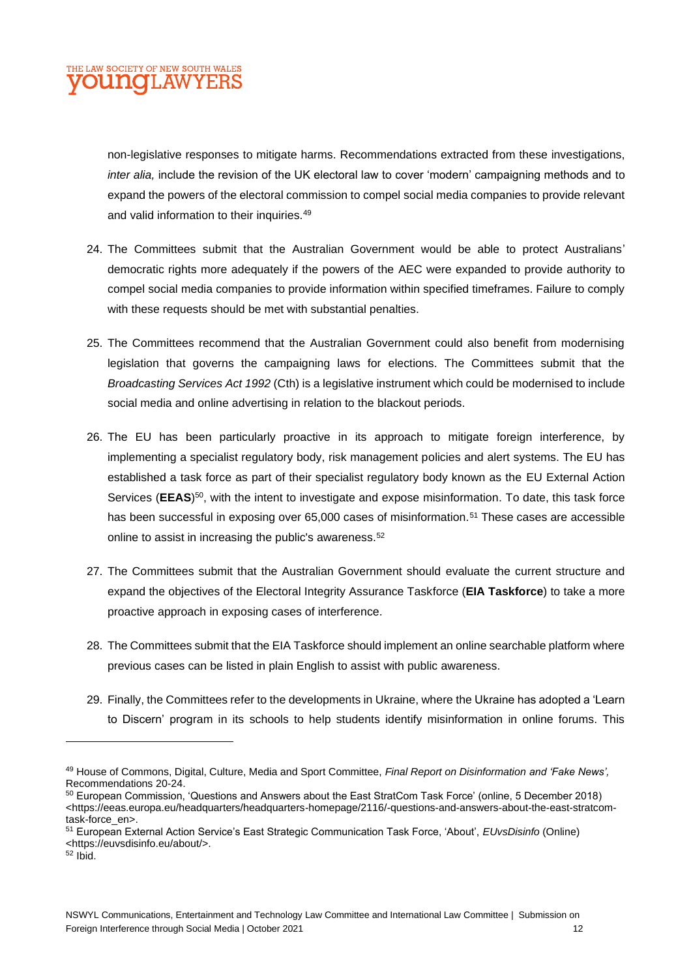

non-legislative responses to mitigate harms. Recommendations extracted from these investigations, *inter alia,* include the revision of the UK electoral law to cover 'modern' campaigning methods and to expand the powers of the electoral commission to compel social media companies to provide relevant and valid information to their inquiries.<sup>49</sup>

- 24. The Committees submit that the Australian Government would be able to protect Australians' democratic rights more adequately if the powers of the AEC were expanded to provide authority to compel social media companies to provide information within specified timeframes. Failure to comply with these requests should be met with substantial penalties.
- 25. The Committees recommend that the Australian Government could also benefit from modernising legislation that governs the campaigning laws for elections. The Committees submit that the *Broadcasting Services Act 1992* (Cth) is a legislative instrument which could be modernised to include social media and online advertising in relation to the blackout periods.
- 26. The EU has been particularly proactive in its approach to mitigate foreign interference, by implementing a specialist regulatory body, risk management policies and alert systems. The EU has established a task force as part of their specialist regulatory body known as the EU External Action Services (EEAS)<sup>50</sup>, with the intent to investigate and expose misinformation. To date, this task force has been successful in exposing over 65,000 cases of misinformation.<sup>51</sup> These cases are accessible online to assist in increasing the public's awareness.<sup>52</sup>
- 27. The Committees submit that the Australian Government should evaluate the current structure and expand the objectives of the Electoral Integrity Assurance Taskforce (**EIA Taskforce**) to take a more proactive approach in exposing cases of interference.
- 28. The Committees submit that the EIA Taskforce should implement an online searchable platform where previous cases can be listed in plain English to assist with public awareness.
- 29. Finally, the Committees refer to the developments in Ukraine, where the Ukraine has adopted a 'Learn to Discern' program in its schools to help students identify misinformation in online forums. This

<sup>49</sup> House of Commons, Digital, Culture, Media and Sport Committee, *Final Report on Disinformation and 'Fake News',*  Recommendations 20-24.

<sup>50</sup> European Commission, 'Questions and Answers about the East StratCom Task Force' (online, 5 December 2018) [<https://eeas.europa.eu/headquarters/headquarters-homepage/2116/-questions-and-answers-about-the-east-stratcom](https://eeas.europa.eu/headquarters/headquarters-homepage/2116/-questions-and-answers-about-the-east-stratcom-task-force_en)[task-force\\_en>](https://eeas.europa.eu/headquarters/headquarters-homepage/2116/-questions-and-answers-about-the-east-stratcom-task-force_en).

<sup>51</sup> European External Action Service's East Strategic Communication Task Force, 'About', *EUvsDisinfo* (Online) [<https://euvsdisinfo.eu/about/>](https://euvsdisinfo.eu/about/).

<sup>52</sup> Ibid.